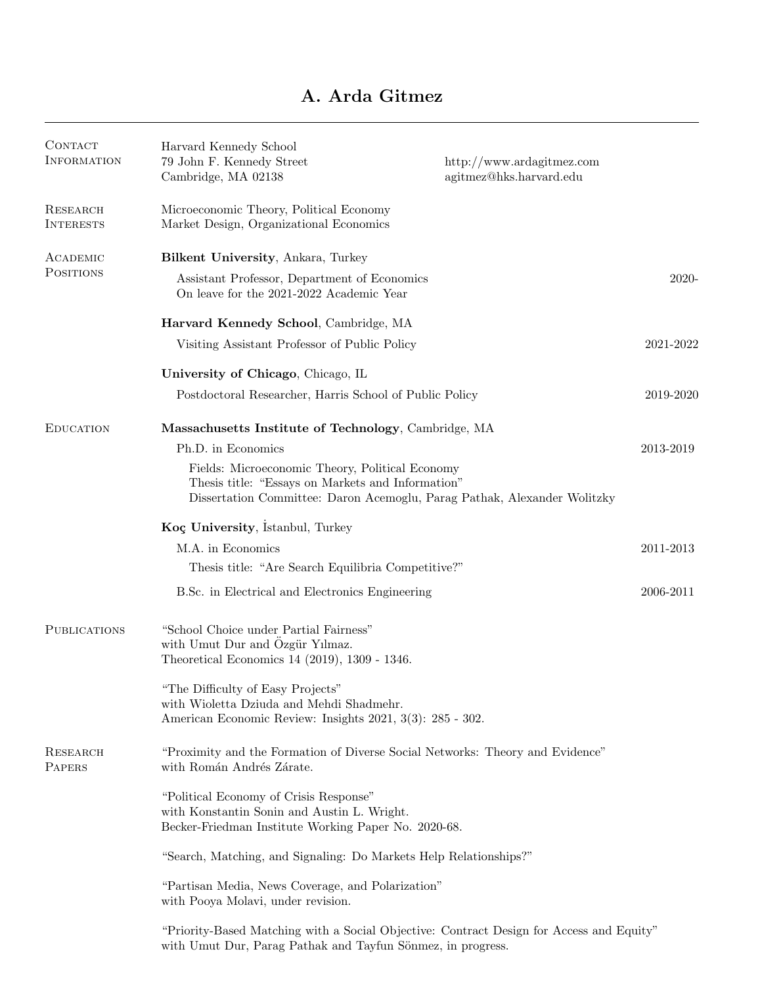## A. Arda Gitmez

| <b>CONTACT</b><br><b>INFORMATION</b> | Harvard Kennedy School<br>79 John F. Kennedy Street<br>Cambridge, MA 02138                                                                                                       | http://www.ardagitmez.com<br>agitmez@hks.harvard.edu |           |
|--------------------------------------|----------------------------------------------------------------------------------------------------------------------------------------------------------------------------------|------------------------------------------------------|-----------|
| <b>RESEARCH</b><br><b>INTERESTS</b>  | Microeconomic Theory, Political Economy<br>Market Design, Organizational Economics                                                                                               |                                                      |           |
| ACADEMIC<br>POSITIONS                | Bilkent University, Ankara, Turkey                                                                                                                                               |                                                      |           |
|                                      | Assistant Professor, Department of Economics<br>On leave for the 2021-2022 Academic Year                                                                                         |                                                      | $2020 -$  |
|                                      | Harvard Kennedy School, Cambridge, MA                                                                                                                                            |                                                      |           |
|                                      | Visiting Assistant Professor of Public Policy                                                                                                                                    |                                                      | 2021-2022 |
|                                      | University of Chicago, Chicago, IL                                                                                                                                               |                                                      |           |
|                                      | Postdoctoral Researcher, Harris School of Public Policy                                                                                                                          |                                                      | 2019-2020 |
| <b>EDUCATION</b>                     | Massachusetts Institute of Technology, Cambridge, MA                                                                                                                             |                                                      |           |
|                                      | Ph.D. in Economics                                                                                                                                                               |                                                      | 2013-2019 |
|                                      | Fields: Microeconomic Theory, Political Economy<br>Thesis title: "Essays on Markets and Information"<br>Dissertation Committee: Daron Acemoglu, Parag Pathak, Alexander Wolitzky |                                                      |           |
|                                      | Koç University, Istanbul, Turkey                                                                                                                                                 |                                                      |           |
|                                      | M.A. in Economics                                                                                                                                                                |                                                      | 2011-2013 |
|                                      | Thesis title: "Are Search Equilibria Competitive?"                                                                                                                               |                                                      |           |
|                                      | B.Sc. in Electrical and Electronics Engineering                                                                                                                                  |                                                      | 2006-2011 |
| <b>PUBLICATIONS</b>                  | "School Choice under Partial Fairness"<br>with Umut Dur and Özgür Yılmaz.<br>Theoretical Economics 14 (2019), 1309 - 1346.                                                       |                                                      |           |
|                                      | "The Difficulty of Easy Projects"<br>with Wioletta Dziuda and Mehdi Shadmehr.<br>American Economic Review: Insights 2021, 3(3): 285 - 302.                                       |                                                      |           |
| RESEARCH<br>PAPERS                   | "Proximity and the Formation of Diverse Social Networks: Theory and Evidence"<br>with Román Andrés Zárate.                                                                       |                                                      |           |
|                                      | "Political Economy of Crisis Response"<br>with Konstantin Sonin and Austin L. Wright.<br>Becker-Friedman Institute Working Paper No. 2020-68.                                    |                                                      |           |
|                                      | "Search, Matching, and Signaling: Do Markets Help Relationships?"                                                                                                                |                                                      |           |
|                                      | "Partisan Media, News Coverage, and Polarization"<br>with Pooya Molavi, under revision.                                                                                          |                                                      |           |
|                                      | "Priority-Based Matching with a Social Objective: Contract Design for Access and Equity"<br>with Umut Dur, Parag Pathak and Tayfun Sönmez, in progress.                          |                                                      |           |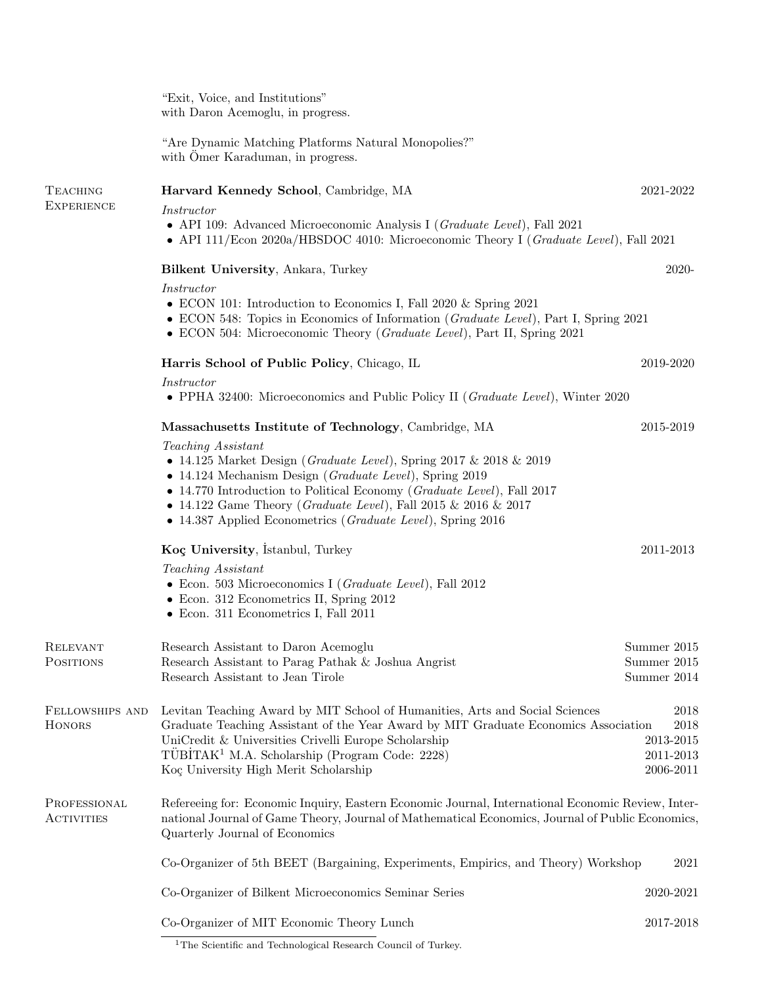"Exit, Voice, and Institutions" with Daron Acemoglu, in progress.

"Are Dynamic Matching Platforms Natural Monopolies?" with Ömer Karaduman, in progress.

| <b>TEACHING</b>                   | Harvard Kennedy School, Cambridge, MA                                                                                                                                                                                                                                                                                                                                                             | 2021-2022                                                     |  |  |
|-----------------------------------|---------------------------------------------------------------------------------------------------------------------------------------------------------------------------------------------------------------------------------------------------------------------------------------------------------------------------------------------------------------------------------------------------|---------------------------------------------------------------|--|--|
| <b>EXPERIENCE</b>                 | Instructor                                                                                                                                                                                                                                                                                                                                                                                        |                                                               |  |  |
|                                   | • API 109: Advanced Microeconomic Analysis I (Graduate Level), Fall 2021<br>• API 111/Econ 2020a/HBSDOC 4010: Microeconomic Theory I ( <i>Graduate Level</i> ), Fall 2021                                                                                                                                                                                                                         |                                                               |  |  |
|                                   | <b>Bilkent University, Ankara, Turkey</b>                                                                                                                                                                                                                                                                                                                                                         | 2020-                                                         |  |  |
|                                   | Instructor<br>• ECON 101: Introduction to Economics I, Fall 2020 $&$ Spring 2021<br>• ECON 548: Topics in Economics of Information ( <i>Graduate Level</i> ), Part I, Spring 2021<br>• ECON 504: Microeconomic Theory ( <i>Graduate Level</i> ), Part II, Spring 2021                                                                                                                             |                                                               |  |  |
|                                   | Harris School of Public Policy, Chicago, IL                                                                                                                                                                                                                                                                                                                                                       | 2019-2020                                                     |  |  |
|                                   | Instructor<br>• PPHA 32400: Microeconomics and Public Policy II ( <i>Graduate Level</i> ), Winter 2020                                                                                                                                                                                                                                                                                            |                                                               |  |  |
|                                   | Massachusetts Institute of Technology, Cambridge, MA                                                                                                                                                                                                                                                                                                                                              | 2015-2019                                                     |  |  |
|                                   | Teaching Assistant<br>• 14.125 Market Design (Graduate Level), Spring 2017 & 2018 & 2019<br>• 14.124 Mechanism Design (Graduate Level), Spring 2019<br>$\bullet$ 14.770 Introduction to Political Economy ( <i>Graduate Level</i> ), Fall 2017<br>• 14.122 Game Theory ( <i>Graduate Level</i> ), Fall 2015 & 2016 & 2017<br>• 14.387 Applied Econometrics ( <i>Graduate Level</i> ), Spring 2016 |                                                               |  |  |
|                                   | Koç University, Istanbul, Turkey                                                                                                                                                                                                                                                                                                                                                                  | 2011-2013                                                     |  |  |
|                                   | Teaching Assistant<br>$\bullet$ Econ. 503 Microeconomics I ( <i>Graduate Level</i> ), Fall 2012<br>• Econ. 312 Econometrics II, Spring 2012<br>• Econ. 311 Econometrics I, Fall 2011                                                                                                                                                                                                              |                                                               |  |  |
| <b>RELEVANT</b>                   | Research Assistant to Daron Acemoglu                                                                                                                                                                                                                                                                                                                                                              | Summer 2015                                                   |  |  |
| POSITIONS                         | Research Assistant to Parag Pathak & Joshua Angrist<br>Research Assistant to Jean Tirole                                                                                                                                                                                                                                                                                                          | Summer 2015<br>Summer 2014                                    |  |  |
| FELLOWSHIPS AND<br>HONORS         | Levitan Teaching Award by MIT School of Humanities, Arts and Social Sciences<br>Graduate Teaching Assistant of the Year Award by MIT Graduate Economics Association<br>UniCredit & Universities Crivelli Europe Scholarship<br>TÜBİTAK <sup>1</sup> M.A. Scholarship (Program Code: 2228)<br>Koç University High Merit Scholarship                                                                | 2018<br>2018<br>$2013\hbox{-} 2015$<br>2011-2013<br>2006-2011 |  |  |
| PROFESSIONAL<br><b>ACTIVITIES</b> | Refereeing for: Economic Inquiry, Eastern Economic Journal, International Economic Review, Inter-<br>national Journal of Game Theory, Journal of Mathematical Economics, Journal of Public Economics,<br>Quarterly Journal of Economics                                                                                                                                                           |                                                               |  |  |
|                                   | Co-Organizer of 5th BEET (Bargaining, Experiments, Empirics, and Theory) Workshop<br>2021                                                                                                                                                                                                                                                                                                         |                                                               |  |  |
|                                   | Co-Organizer of Bilkent Microeconomics Seminar Series                                                                                                                                                                                                                                                                                                                                             | 2020-2021                                                     |  |  |
|                                   | Co-Organizer of MIT Economic Theory Lunch                                                                                                                                                                                                                                                                                                                                                         | $2017 - 2018$                                                 |  |  |

<sup>&</sup>lt;sup>1</sup>The Scientific and Technological Research Council of Turkey.